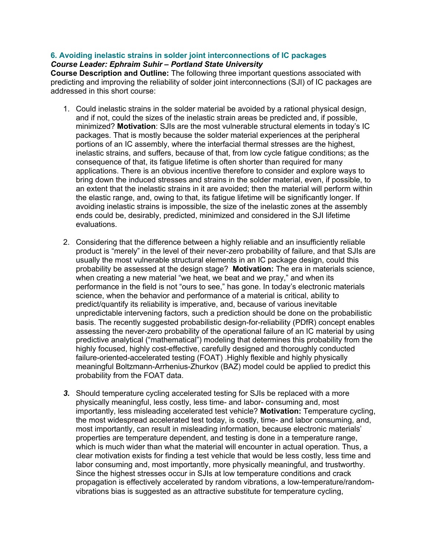## **6. Avoiding inelastic strains in solder joint interconnections of IC packages** *Course Leader: Ephraim Suhir – Portland State University*

**Course Description and Outline:** The following three important questions associated with predicting and improving the reliability of solder joint interconnections (SJI) of IC packages are addressed in this short course:

- 1. Could inelastic strains in the solder material be avoided by a rational physical design, and if not, could the sizes of the inelastic strain areas be predicted and, if possible, minimized? **Motivation**: SJIs are the most vulnerable structural elements in today's IC packages. That is mostly because the solder material experiences at the peripheral portions of an IC assembly, where the interfacial thermal stresses are the highest, inelastic strains, and suffers, because of that, from low cycle fatigue conditions; as the consequence of that, its fatigue lifetime is often shorter than required for many applications. There is an obvious incentive therefore to consider and explore ways to bring down the induced stresses and strains in the solder material, even, if possible, to an extent that the inelastic strains in it are avoided; then the material will perform within the elastic range, and, owing to that, its fatigue lifetime will be significantly longer. If avoiding inelastic strains is impossible, the size of the inelastic zones at the assembly ends could be, desirably, predicted, minimized and considered in the SJI lifetime evaluations.
- 2. Considering that the difference between a highly reliable and an insufficiently reliable product is "merely" in the level of their never-zero probability of failure, and that SJIs are usually the most vulnerable structural elements in an IC package design, could this probability be assessed at the design stage? **Motivation:** The era in materials science, when creating a new material "we heat, we beat and we pray," and when its performance in the field is not "ours to see," has gone. In today's electronic materials science, when the behavior and performance of a material is critical, ability to predict/quantify its reliability is imperative, and, because of various inevitable unpredictable intervening factors, such a prediction should be done on the probabilistic basis. The recently suggested probabilistic design-for-reliability (PDfR) concept enables assessing the never-zero probability of the operational failure of an IC material by using predictive analytical ("mathematical") modeling that determines this probability from the highly focused, highly cost-effective, carefully designed and thoroughly conducted failure-oriented-accelerated testing (FOAT) .Highly flexible and highly physically meaningful Boltzmann-Arrhenius-Zhurkov (BAZ) model could be applied to predict this probability from the FOAT data.
- *3.* Should temperature cycling accelerated testing for SJIs be replaced with a more physically meaningful, less costly, less time- and labor- consuming and, most importantly, less misleading accelerated test vehicle? **Motivation:** Temperature cycling, the most widespread accelerated test today, is costly, time- and labor consuming, and, most importantly, can result in misleading information, because electronic materials' properties are temperature dependent, and testing is done in a temperature range, which is much wider than what the material will encounter in actual operation. Thus, a clear motivation exists for finding a test vehicle that would be less costly, less time and labor consuming and, most importantly, more physically meaningful, and trustworthy. Since the highest stresses occur in SJIs at low temperature conditions and crack propagation is effectively accelerated by random vibrations, a low-temperature/randomvibrations bias is suggested as an attractive substitute for temperature cycling,